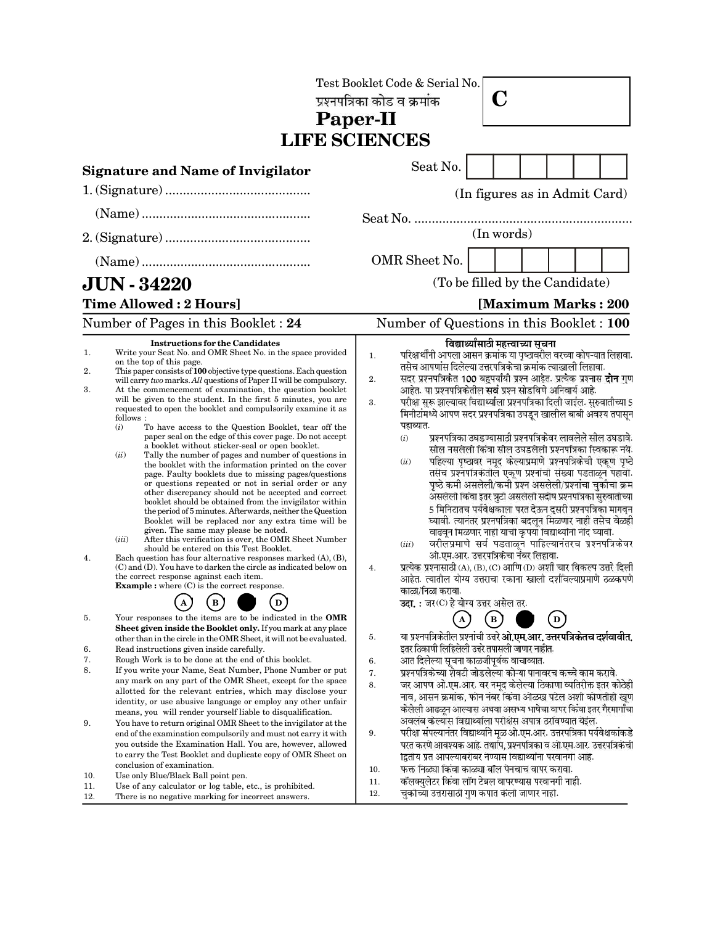|                      |                                                                                                                                                                                                                                                                                                                                                                                                                                                                                                                                                                                                                                                                                                                                                                                                                                                                                                                                                                                                                                                                                                                                                                                                                                                                                                                                                                                                                                                                                                                                                                                | Test Booklet Code & Serial No.<br>${\bf C}$<br>प्रश्नपत्रिका कोड व क्रमांक<br>Paper-II |                                                                                                                                                                                                                                                                                                                                                                                                                                                                                                                                                                                                                                                                                                                                                                                                                                                                                                                                                                                                                                                                                                                                                                                                                                                                                                                                                                                          |                                      |  |  |                            |                               |                     |  |  |
|----------------------|--------------------------------------------------------------------------------------------------------------------------------------------------------------------------------------------------------------------------------------------------------------------------------------------------------------------------------------------------------------------------------------------------------------------------------------------------------------------------------------------------------------------------------------------------------------------------------------------------------------------------------------------------------------------------------------------------------------------------------------------------------------------------------------------------------------------------------------------------------------------------------------------------------------------------------------------------------------------------------------------------------------------------------------------------------------------------------------------------------------------------------------------------------------------------------------------------------------------------------------------------------------------------------------------------------------------------------------------------------------------------------------------------------------------------------------------------------------------------------------------------------------------------------------------------------------------------------|----------------------------------------------------------------------------------------|------------------------------------------------------------------------------------------------------------------------------------------------------------------------------------------------------------------------------------------------------------------------------------------------------------------------------------------------------------------------------------------------------------------------------------------------------------------------------------------------------------------------------------------------------------------------------------------------------------------------------------------------------------------------------------------------------------------------------------------------------------------------------------------------------------------------------------------------------------------------------------------------------------------------------------------------------------------------------------------------------------------------------------------------------------------------------------------------------------------------------------------------------------------------------------------------------------------------------------------------------------------------------------------------------------------------------------------------------------------------------------------|--------------------------------------|--|--|----------------------------|-------------------------------|---------------------|--|--|
|                      | <b>LIFE SCIENCES</b>                                                                                                                                                                                                                                                                                                                                                                                                                                                                                                                                                                                                                                                                                                                                                                                                                                                                                                                                                                                                                                                                                                                                                                                                                                                                                                                                                                                                                                                                                                                                                           |                                                                                        |                                                                                                                                                                                                                                                                                                                                                                                                                                                                                                                                                                                                                                                                                                                                                                                                                                                                                                                                                                                                                                                                                                                                                                                                                                                                                                                                                                                          |                                      |  |  |                            |                               |                     |  |  |
|                      | <b>Signature and Name of Invigilator</b>                                                                                                                                                                                                                                                                                                                                                                                                                                                                                                                                                                                                                                                                                                                                                                                                                                                                                                                                                                                                                                                                                                                                                                                                                                                                                                                                                                                                                                                                                                                                       |                                                                                        | Seat No.                                                                                                                                                                                                                                                                                                                                                                                                                                                                                                                                                                                                                                                                                                                                                                                                                                                                                                                                                                                                                                                                                                                                                                                                                                                                                                                                                                                 |                                      |  |  |                            |                               |                     |  |  |
|                      |                                                                                                                                                                                                                                                                                                                                                                                                                                                                                                                                                                                                                                                                                                                                                                                                                                                                                                                                                                                                                                                                                                                                                                                                                                                                                                                                                                                                                                                                                                                                                                                |                                                                                        |                                                                                                                                                                                                                                                                                                                                                                                                                                                                                                                                                                                                                                                                                                                                                                                                                                                                                                                                                                                                                                                                                                                                                                                                                                                                                                                                                                                          |                                      |  |  |                            |                               |                     |  |  |
|                      |                                                                                                                                                                                                                                                                                                                                                                                                                                                                                                                                                                                                                                                                                                                                                                                                                                                                                                                                                                                                                                                                                                                                                                                                                                                                                                                                                                                                                                                                                                                                                                                |                                                                                        |                                                                                                                                                                                                                                                                                                                                                                                                                                                                                                                                                                                                                                                                                                                                                                                                                                                                                                                                                                                                                                                                                                                                                                                                                                                                                                                                                                                          |                                      |  |  |                            | (In figures as in Admit Card) |                     |  |  |
|                      |                                                                                                                                                                                                                                                                                                                                                                                                                                                                                                                                                                                                                                                                                                                                                                                                                                                                                                                                                                                                                                                                                                                                                                                                                                                                                                                                                                                                                                                                                                                                                                                |                                                                                        |                                                                                                                                                                                                                                                                                                                                                                                                                                                                                                                                                                                                                                                                                                                                                                                                                                                                                                                                                                                                                                                                                                                                                                                                                                                                                                                                                                                          |                                      |  |  |                            |                               |                     |  |  |
|                      |                                                                                                                                                                                                                                                                                                                                                                                                                                                                                                                                                                                                                                                                                                                                                                                                                                                                                                                                                                                                                                                                                                                                                                                                                                                                                                                                                                                                                                                                                                                                                                                |                                                                                        |                                                                                                                                                                                                                                                                                                                                                                                                                                                                                                                                                                                                                                                                                                                                                                                                                                                                                                                                                                                                                                                                                                                                                                                                                                                                                                                                                                                          | (In words)                           |  |  |                            |                               |                     |  |  |
|                      |                                                                                                                                                                                                                                                                                                                                                                                                                                                                                                                                                                                                                                                                                                                                                                                                                                                                                                                                                                                                                                                                                                                                                                                                                                                                                                                                                                                                                                                                                                                                                                                |                                                                                        | OMR Sheet No.                                                                                                                                                                                                                                                                                                                                                                                                                                                                                                                                                                                                                                                                                                                                                                                                                                                                                                                                                                                                                                                                                                                                                                                                                                                                                                                                                                            |                                      |  |  |                            |                               |                     |  |  |
|                      | <b>JUN - 34220</b>                                                                                                                                                                                                                                                                                                                                                                                                                                                                                                                                                                                                                                                                                                                                                                                                                                                                                                                                                                                                                                                                                                                                                                                                                                                                                                                                                                                                                                                                                                                                                             |                                                                                        | (To be filled by the Candidate)                                                                                                                                                                                                                                                                                                                                                                                                                                                                                                                                                                                                                                                                                                                                                                                                                                                                                                                                                                                                                                                                                                                                                                                                                                                                                                                                                          |                                      |  |  |                            |                               |                     |  |  |
|                      | <b>Time Allowed: 2 Hours]</b>                                                                                                                                                                                                                                                                                                                                                                                                                                                                                                                                                                                                                                                                                                                                                                                                                                                                                                                                                                                                                                                                                                                                                                                                                                                                                                                                                                                                                                                                                                                                                  |                                                                                        |                                                                                                                                                                                                                                                                                                                                                                                                                                                                                                                                                                                                                                                                                                                                                                                                                                                                                                                                                                                                                                                                                                                                                                                                                                                                                                                                                                                          |                                      |  |  |                            |                               | [Maximum Marks: 200 |  |  |
|                      | Number of Pages in this Booklet: 24                                                                                                                                                                                                                                                                                                                                                                                                                                                                                                                                                                                                                                                                                                                                                                                                                                                                                                                                                                                                                                                                                                                                                                                                                                                                                                                                                                                                                                                                                                                                            |                                                                                        | Number of Questions in this Booklet : 100                                                                                                                                                                                                                                                                                                                                                                                                                                                                                                                                                                                                                                                                                                                                                                                                                                                                                                                                                                                                                                                                                                                                                                                                                                                                                                                                                |                                      |  |  |                            |                               |                     |  |  |
| 1.<br>2.<br>3.<br>4. | <b>Instructions for the Candidates</b><br>Write your Seat No. and OMR Sheet No. in the space provided<br>on the top of this page.<br>This paper consists of 100 objective type questions. Each question<br>will carry two marks. All questions of Paper II will be compulsory.<br>At the commencement of examination, the question booklet<br>will be given to the student. In the first 5 minutes, you are<br>requested to open the booklet and compulsorily examine it as<br>follows:<br>(i)<br>To have access to the Question Booklet, tear off the<br>paper seal on the edge of this cover page. Do not accept<br>a booklet without sticker-seal or open booklet.<br>(ii)<br>Tally the number of pages and number of questions in<br>the booklet with the information printed on the cover<br>page. Faulty booklets due to missing pages/questions<br>or questions repeated or not in serial order or any<br>other discrepancy should not be accepted and correct<br>booklet should be obtained from the invigilator within<br>the period of 5 minutes. Afterwards, neither the Question<br>Booklet will be replaced nor any extra time will be<br>given. The same may please be noted.<br>(iii)<br>After this verification is over, the OMR Sheet Number<br>should be entered on this Test Booklet.<br>Each question has four alternative responses marked $(A)$ , $(B)$ ,<br>$(C)$ and $(D)$ . You have to darken the circle as indicated below on<br>the correct response against each item.<br><b>Example :</b> where (C) is the correct response.<br>$\mathbf D$<br>в | 1.<br>2.<br>3.<br>4.                                                                   | परिक्षार्थींनी आपला आसन क्रमांक या पृष्ठावरील वरच्या कोपऱ्यात लिहावा.<br>तसेच आपणांस दिलेल्या उत्तरपत्रिकेचा क्रमांक त्याखाली लिहावा.<br>सदर प्रश्नपत्रिकेत 100 बहुपर्यायी प्रश्न आहेत. प्रत्येक प्रश्नास <b>दोन</b> गुण<br>आहेत. या प्रश्नपत्रिकेतील सर्व प्रश्न सोडविणे अनिवार्य आहे.<br>परीक्षा सुरू झाल्यावर विद्यार्थ्याला प्रश्नपत्रिका दिली जाईल. सुरुवातीच्या 5<br>मिनीटांमध्ये आपण सदर प्रश्नपत्रिका उघडून खालील बाबी अवश्य तपासून<br>पहाव्यात.<br>प्रश्नपत्रिका उघडण्यासाठी प्रश्नपत्रिकेवर लावलेले सील उघडावे.<br>(i)<br>सील नसलेली किंवा सील उघडलेली प्रश्नपत्रिका स्विकारू नये.<br>पहिल्या पृष्ठावर नमूद केल्याप्रमाणे प्रश्नपत्रिकेची एकूण पृष्ठे<br>(ii)<br>तसेच प्रश्नपत्रिकेतील एकूण प्रश्नांची संख्या पडताळून पहावी.<br>पृष्ठे कमी असलेली/कमी प्रश्न असलेली/प्रश्नांचा चुकीचा क्रम<br>असलेली किंवा इतर त्रुटी असलेली सदीष प्रश्नपत्रिका सुरुवातीच्या<br>5 मिनिटातच पर्यवेक्षकाला परत देऊन दुसरी प्रश्नपत्रिका मागवून<br>घ्यावी. त्यानंतर प्रश्नपत्रिका बदलून मिळणार नाही तसेच वेळही<br>वाढवून मिळणार नाही याची कृपया विद्यार्थ्यांनी नॉंद घ्यावी.<br>वरीलप्रमाणे सर्व पडताळून पाहिल्यानंतरच प्रश्नपत्रिकेवर<br>(iii)<br>ओ.एम.आर. उत्तरपत्रिकेचा नंबर लिहावा.<br>प्रत्येक प्रश्नासाठी (A), (B), (C) आणि (D) अशी चार विकल्प उत्तरे दिली<br>आहेत. त्यातील योग्य उत्तराचा रकाना खाली दर्शावल्याप्रमाणे ठळकपणे<br>काळा/निळा करावा.<br>उदा. : जर (C) हे योग्य उत्तर असेल तर. | विद्यार्थ्यांसाठी महत्त्वाच्या सूचना |  |  |                            |                               |                     |  |  |
| 5.                   | Your responses to the items are to be indicated in the OMR<br>Sheet given inside the Booklet only. If you mark at any place<br>other than in the circle in the OMR Sheet, it will not be evaluated.                                                                                                                                                                                                                                                                                                                                                                                                                                                                                                                                                                                                                                                                                                                                                                                                                                                                                                                                                                                                                                                                                                                                                                                                                                                                                                                                                                            | 5.                                                                                     | या प्रश्नपत्रिकेतील प्रश्नांची उत्तरे ओ.एम.आर. उत्तरपत्रिकेतच दर्शवावीत.                                                                                                                                                                                                                                                                                                                                                                                                                                                                                                                                                                                                                                                                                                                                                                                                                                                                                                                                                                                                                                                                                                                                                                                                                                                                                                                 | $\mathbf{B}$                         |  |  | $\left( \mathbf{D}\right)$ |                               |                     |  |  |
| 6.                   | Read instructions given inside carefully.                                                                                                                                                                                                                                                                                                                                                                                                                                                                                                                                                                                                                                                                                                                                                                                                                                                                                                                                                                                                                                                                                                                                                                                                                                                                                                                                                                                                                                                                                                                                      |                                                                                        | इतर ठिकाणी लिहिलेली उत्तरे तपासली जाणार नाहीत.                                                                                                                                                                                                                                                                                                                                                                                                                                                                                                                                                                                                                                                                                                                                                                                                                                                                                                                                                                                                                                                                                                                                                                                                                                                                                                                                           |                                      |  |  |                            |                               |                     |  |  |
| 7.<br>8.             | Rough Work is to be done at the end of this booklet.<br>If you write your Name, Seat Number, Phone Number or put                                                                                                                                                                                                                                                                                                                                                                                                                                                                                                                                                                                                                                                                                                                                                                                                                                                                                                                                                                                                                                                                                                                                                                                                                                                                                                                                                                                                                                                               | 6.                                                                                     | आत दिलेल्या सूचना काळजीपूर्वक वाचाव्यात.                                                                                                                                                                                                                                                                                                                                                                                                                                                                                                                                                                                                                                                                                                                                                                                                                                                                                                                                                                                                                                                                                                                                                                                                                                                                                                                                                 |                                      |  |  |                            |                               |                     |  |  |
|                      | any mark on any part of the OMR Sheet, except for the space                                                                                                                                                                                                                                                                                                                                                                                                                                                                                                                                                                                                                                                                                                                                                                                                                                                                                                                                                                                                                                                                                                                                                                                                                                                                                                                                                                                                                                                                                                                    | 7.                                                                                     | प्रश्नपत्रिकेच्या शेवटी जोडलेल्या कोऱ्या पानावरच कच्चे काम करावे.<br>जर आपण ओ.एम.आर. वर नमूद केलेल्या ठिकाणा व्यतिरीक्त इतर कोठेही                                                                                                                                                                                                                                                                                                                                                                                                                                                                                                                                                                                                                                                                                                                                                                                                                                                                                                                                                                                                                                                                                                                                                                                                                                                       |                                      |  |  |                            |                               |                     |  |  |
|                      | allotted for the relevant entries, which may disclose your                                                                                                                                                                                                                                                                                                                                                                                                                                                                                                                                                                                                                                                                                                                                                                                                                                                                                                                                                                                                                                                                                                                                                                                                                                                                                                                                                                                                                                                                                                                     | 8.                                                                                     | नाव, आसन क्रमांक, फोन नंबर किंवा ओळख पटेल अशी कोणतीही खूण                                                                                                                                                                                                                                                                                                                                                                                                                                                                                                                                                                                                                                                                                                                                                                                                                                                                                                                                                                                                                                                                                                                                                                                                                                                                                                                                |                                      |  |  |                            |                               |                     |  |  |
|                      | identity, or use abusive language or employ any other unfair                                                                                                                                                                                                                                                                                                                                                                                                                                                                                                                                                                                                                                                                                                                                                                                                                                                                                                                                                                                                                                                                                                                                                                                                                                                                                                                                                                                                                                                                                                                   |                                                                                        | केलेली आढळून आल्यास अथवा असभ्य भाषेचा वापर किंवा इतर गैरमार्गांचा                                                                                                                                                                                                                                                                                                                                                                                                                                                                                                                                                                                                                                                                                                                                                                                                                                                                                                                                                                                                                                                                                                                                                                                                                                                                                                                        |                                      |  |  |                            |                               |                     |  |  |
| 9.                   | means, you will render yourself liable to disqualification.<br>You have to return original OMR Sheet to the invigilator at the                                                                                                                                                                                                                                                                                                                                                                                                                                                                                                                                                                                                                                                                                                                                                                                                                                                                                                                                                                                                                                                                                                                                                                                                                                                                                                                                                                                                                                                 |                                                                                        | अवलंब केल्यास विद्यार्थ्याला परीक्षेस अपात्र ठरविण्यात येईल.                                                                                                                                                                                                                                                                                                                                                                                                                                                                                                                                                                                                                                                                                                                                                                                                                                                                                                                                                                                                                                                                                                                                                                                                                                                                                                                             |                                      |  |  |                            |                               |                     |  |  |
|                      | end of the examination compulsorily and must not carry it with                                                                                                                                                                                                                                                                                                                                                                                                                                                                                                                                                                                                                                                                                                                                                                                                                                                                                                                                                                                                                                                                                                                                                                                                                                                                                                                                                                                                                                                                                                                 | 9.                                                                                     | परीक्षा संपल्यानंतर विद्यार्थ्याने मूळ ओ.एम.आर. उत्तरपत्रिका पर्यवेक्षकांकडे                                                                                                                                                                                                                                                                                                                                                                                                                                                                                                                                                                                                                                                                                                                                                                                                                                                                                                                                                                                                                                                                                                                                                                                                                                                                                                             |                                      |  |  |                            |                               |                     |  |  |
|                      | you outside the Examination Hall. You are, however, allowed                                                                                                                                                                                                                                                                                                                                                                                                                                                                                                                                                                                                                                                                                                                                                                                                                                                                                                                                                                                                                                                                                                                                                                                                                                                                                                                                                                                                                                                                                                                    |                                                                                        | परत करणे आवश्यक आहे. तथापि, प्रश्नपत्रिका व ओ.एम.आर. उत्तरपत्रिकेची                                                                                                                                                                                                                                                                                                                                                                                                                                                                                                                                                                                                                                                                                                                                                                                                                                                                                                                                                                                                                                                                                                                                                                                                                                                                                                                      |                                      |  |  |                            |                               |                     |  |  |
|                      | to carry the Test Booklet and duplicate copy of OMR Sheet on                                                                                                                                                                                                                                                                                                                                                                                                                                                                                                                                                                                                                                                                                                                                                                                                                                                                                                                                                                                                                                                                                                                                                                                                                                                                                                                                                                                                                                                                                                                   |                                                                                        | द्वितीय प्रत आपल्याबरोबर नेण्यास विद्यार्थ्यांना परवानगी आहे.                                                                                                                                                                                                                                                                                                                                                                                                                                                                                                                                                                                                                                                                                                                                                                                                                                                                                                                                                                                                                                                                                                                                                                                                                                                                                                                            |                                      |  |  |                            |                               |                     |  |  |
| 10.                  | conclusion of examination.<br>Use only Blue/Black Ball point pen.                                                                                                                                                                                                                                                                                                                                                                                                                                                                                                                                                                                                                                                                                                                                                                                                                                                                                                                                                                                                                                                                                                                                                                                                                                                                                                                                                                                                                                                                                                              | 10.                                                                                    | फक्त निळ्या किंवा काळ्या बॉल पेनचाच वापर करावा.                                                                                                                                                                                                                                                                                                                                                                                                                                                                                                                                                                                                                                                                                                                                                                                                                                                                                                                                                                                                                                                                                                                                                                                                                                                                                                                                          |                                      |  |  |                            |                               |                     |  |  |
| 11.                  | Use of any calculator or log table, etc., is prohibited.                                                                                                                                                                                                                                                                                                                                                                                                                                                                                                                                                                                                                                                                                                                                                                                                                                                                                                                                                                                                                                                                                                                                                                                                                                                                                                                                                                                                                                                                                                                       | 11.                                                                                    | कॅलक्युलेटर किंवा लॉग टेबल वापरण्यास परवानगी नाही.                                                                                                                                                                                                                                                                                                                                                                                                                                                                                                                                                                                                                                                                                                                                                                                                                                                                                                                                                                                                                                                                                                                                                                                                                                                                                                                                       |                                      |  |  |                            |                               |                     |  |  |
| 12.                  | There is no negative marking for incorrect answers.                                                                                                                                                                                                                                                                                                                                                                                                                                                                                                                                                                                                                                                                                                                                                                                                                                                                                                                                                                                                                                                                                                                                                                                                                                                                                                                                                                                                                                                                                                                            | 12.                                                                                    | चुकीच्या उत्तरासाठी गुण कपात केली जाणार नाही.                                                                                                                                                                                                                                                                                                                                                                                                                                                                                                                                                                                                                                                                                                                                                                                                                                                                                                                                                                                                                                                                                                                                                                                                                                                                                                                                            |                                      |  |  |                            |                               |                     |  |  |
|                      |                                                                                                                                                                                                                                                                                                                                                                                                                                                                                                                                                                                                                                                                                                                                                                                                                                                                                                                                                                                                                                                                                                                                                                                                                                                                                                                                                                                                                                                                                                                                                                                |                                                                                        |                                                                                                                                                                                                                                                                                                                                                                                                                                                                                                                                                                                                                                                                                                                                                                                                                                                                                                                                                                                                                                                                                                                                                                                                                                                                                                                                                                                          |                                      |  |  |                            |                               |                     |  |  |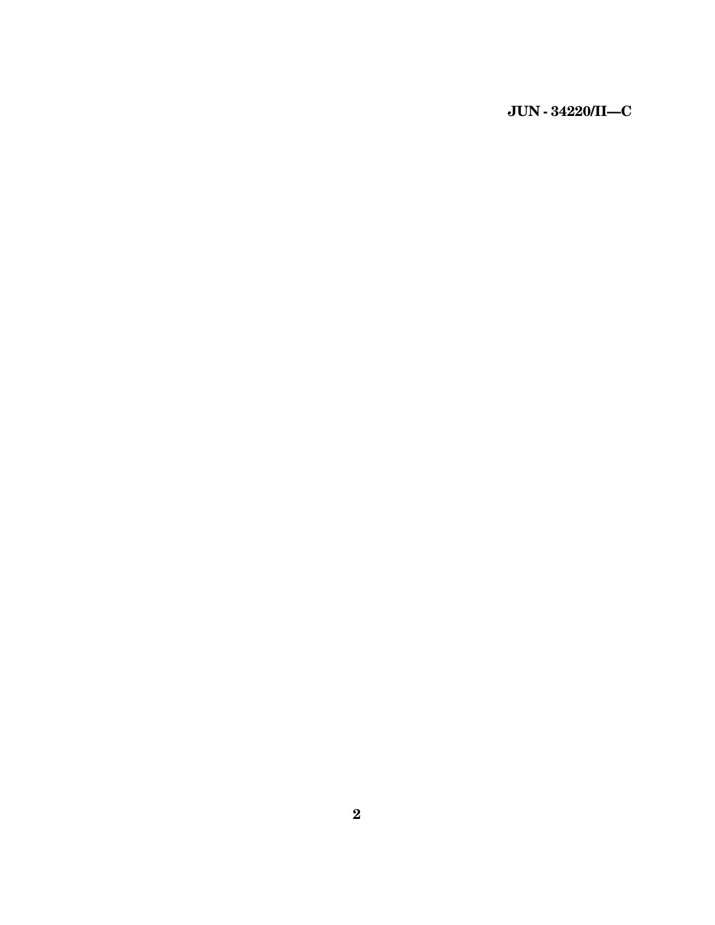**JUN - 34220/II—C**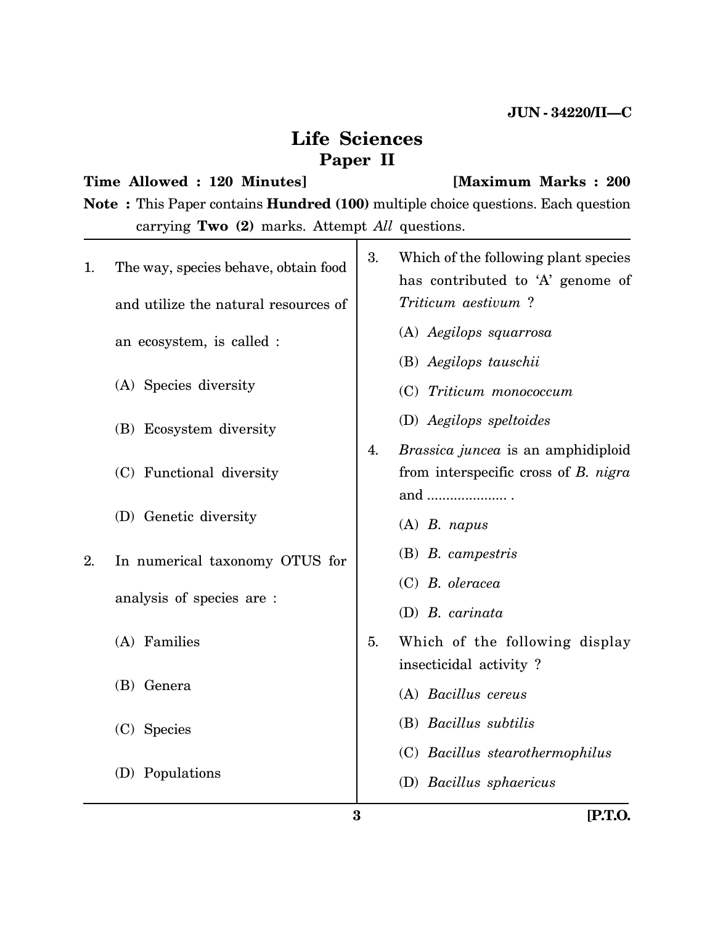## **Life Sciences Paper II**

## **Time Allowed : 120 Minutes] [Maximum Marks : 200 Note :** This Paper contains **Hundred (100)** multiple choice questions. Each question carrying **Two (2)** marks. Attempt *All* questions.  $\top$

|    | 3                                                                                    |    | [P.T.O.                                                  |
|----|--------------------------------------------------------------------------------------|----|----------------------------------------------------------|
|    | (D) Populations                                                                      |    | (D) Bacillus sphaericus                                  |
| 2. |                                                                                      |    | (C) Bacillus stearothermophilus                          |
|    | (C) Species                                                                          |    | (B) Bacillus subtilis                                    |
|    | (B) Genera                                                                           |    | (A) Bacillus cereus                                      |
|    | (A) Families                                                                         | 5. | Which of the following display<br>insecticidal activity? |
|    |                                                                                      |    | (D) B. carinata                                          |
|    | (D) Genetic diversity<br>In numerical taxonomy OTUS for<br>analysis of species are : |    | (C) B. oleracea                                          |
|    |                                                                                      |    | $(B)$ <i>B. campestris</i>                               |
|    |                                                                                      |    | $(A)$ <i>B. napus</i>                                    |
|    |                                                                                      |    | and                                                      |
|    | (C) Functional diversity                                                             |    | from interspecific cross of $B$ . $nigra$                |
|    | (B) Ecosystem diversity                                                              | 4. | <i>Brassica juncea</i> is an amphidiploid                |
|    |                                                                                      |    | (D) Aegilops speltoides                                  |
|    | an ecosystem, is called :<br>(A) Species diversity                                   |    | (C) Triticum monococcum                                  |
|    |                                                                                      |    | (B) Aegilops tauschii                                    |
|    |                                                                                      |    | (A) Aegilops squarrosa                                   |
|    | and utilize the natural resources of                                                 |    | has contributed to 'A' genome of<br>Triticum aestivum?   |
| 1. | The way, species behave, obtain food                                                 | 3. | Which of the following plant species                     |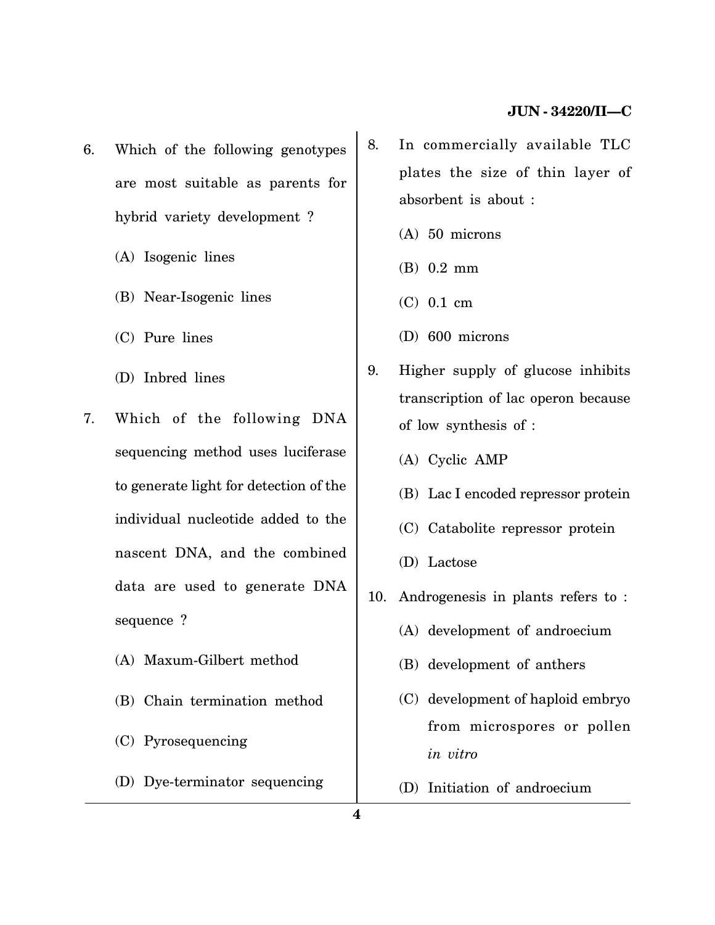- 6. Which of the following genotypes are most suitable as parents for hybrid variety development ?
	- (A) Isogenic lines
	- (B) Near-Isogenic lines
	- (C) Pure lines
	- (D) Inbred lines
- 7. Which of the following DNA sequencing method uses luciferase to generate light for detection of the individual nucleotide added to the nascent DNA, and the combined data are used to generate DNA sequence ?
	- (A) Maxum-Gilbert method
	- (B) Chain termination method
	- (C) Pyrosequencing
	- (D) Dye-terminator sequencing
- 8. In commercially available TLC plates the size of thin layer of absorbent is about :
	- (A) 50 microns
	- (B) 0.2 mm
	- (C) 0.1 cm
	- (D) 600 microns
- 9. Higher supply of glucose inhibits transcription of lac operon because of low synthesis of :
	- (A) Cyclic AMP
	- (B) Lac I encoded repressor protein
	- (C) Catabolite repressor protein
	- (D) Lactose
- 10. Androgenesis in plants refers to :
	- (A) development of androecium
	- (B) development of anthers
	- (C) development of haploid embryo from microspores or pollen *in vitro*
	- (D) Initiation of androecium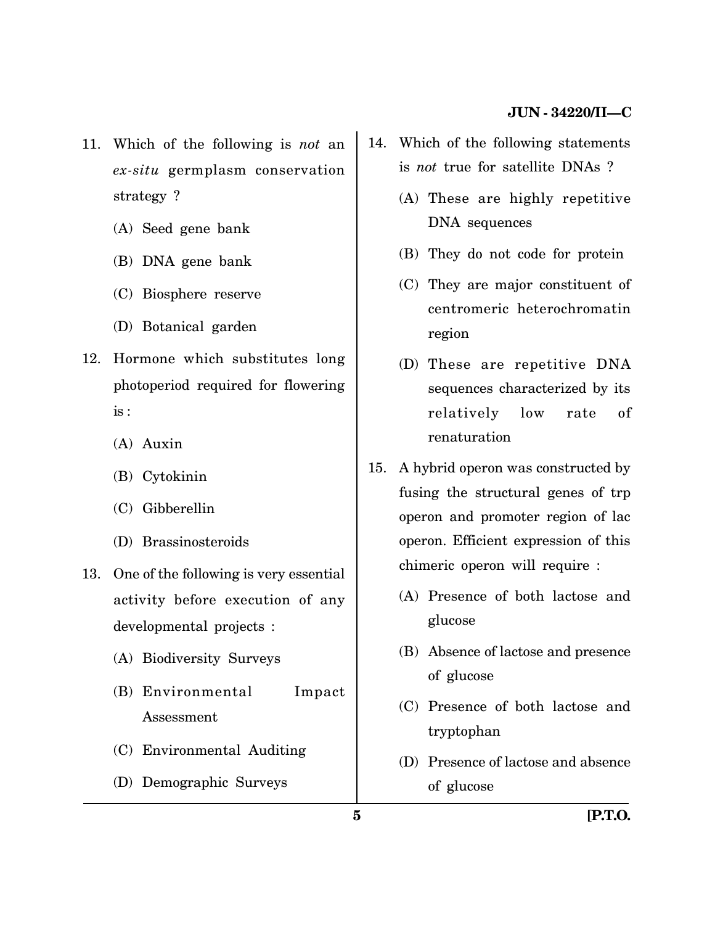- 11. Which of the following is *not* an *ex-situ* germplasm conservation strategy ?
	- (A) Seed gene bank
	- (B) DNA gene bank
	- (C) Biosphere reserve
	- (D) Botanical garden
- 12. Hormone which substitutes long photoperiod required for flowering is :
	- (A) Auxin
	- (B) Cytokinin
	- (C) Gibberellin
	- (D) Brassinosteroids
- 13. One of the following is very essential activity before execution of any developmental projects :
	- (A) Biodiversity Surveys
	- (B) Environmental Impact Assessment
	- (C) Environmental Auditing
	- (D) Demographic Surveys
- 14. Which of the following statements is *not* true for satellite DNAs ?
	- (A) These are highly repetitive DNA sequences
	- (B) They do not code for protein
	- (C) They are major constituent of centromeric heterochromatin region
	- (D) These are repetitive DNA sequences characterized by its relatively low rate of renaturation
- 15. A hybrid operon was constructed by fusing the structural genes of trp operon and promoter region of lac operon. Efficient expression of this chimeric operon will require :
	- (A) Presence of both lactose and glucose
	- (B) Absence of lactose and presence of glucose
	- (C) Presence of both lactose and tryptophan
	- (D) Presence of lactose and absence of glucose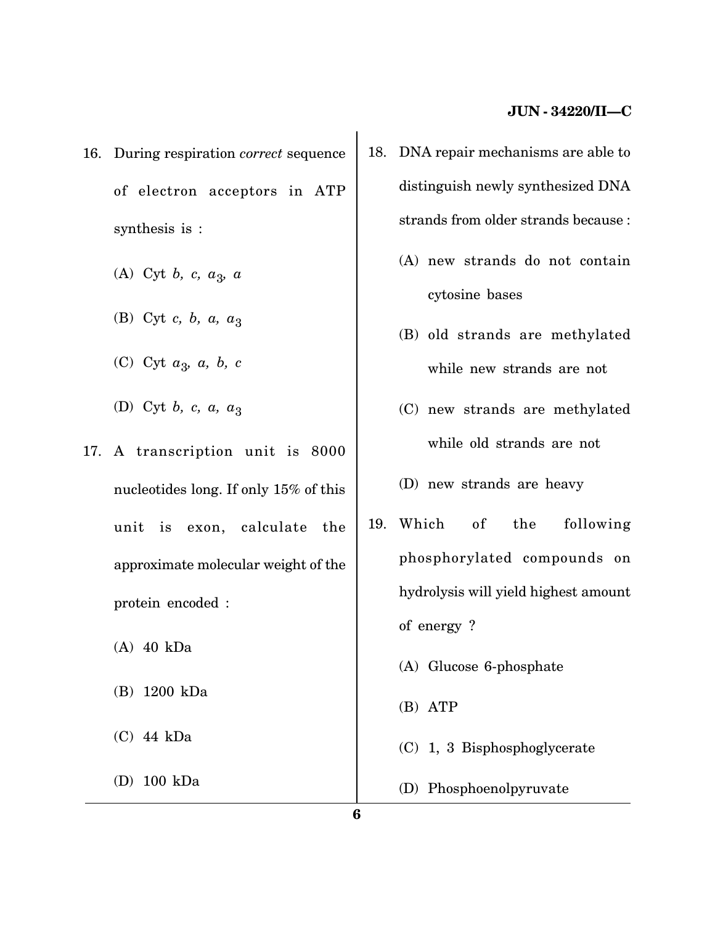- 16. During respiration *correct* sequence of electron acceptors in ATP synthesis is :
	- (A) Cyt *b, c, a*<sup>3</sup> *, a*
	- (B) Cyt *c*, *b*, *a*, *a*<sub>3</sub>
	- (C) Cyt *a*<sup>3</sup> *, a, b, c*
	- (D) Cyt *b*, *c*, *a*,  $a_3$
- 17. A transcription unit is 8000 nucleotides long. If only 15% of this unit is exon, calculate the approximate molecular weight of the protein encoded :
	- (A) 40 kDa
	- (B) 1200 kDa
	- (C) 44 kDa
	- (D) 100 kDa
- 18. DNA repair mechanisms are able to distinguish newly synthesized DNA strands from older strands because :
	- (A) new strands do not contain cytosine bases
	- (B) old strands are methylated while new strands are not
	- (C) new strands are methylated while old strands are not
	- (D) new strands are heavy
- 19. Which of the following phosphorylated compounds on hydrolysis will yield highest amount of energy ?
	- (A) Glucose 6-phosphate
	- (B) ATP
	- (C) 1, 3 Bisphosphoglycerate
	- (D) Phosphoenolpyruvate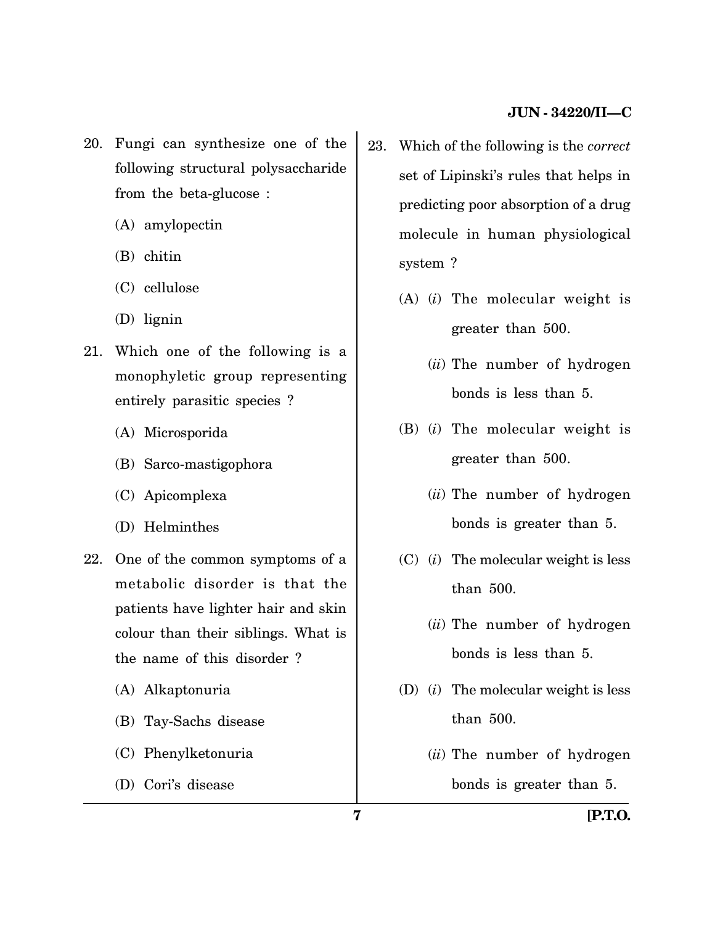- 20. Fungi can synthesize one of the following structural polysaccharide from the beta-glucose :
	- (A) amylopectin
	- (B) chitin
	- (C) cellulose
	- (D) lignin
- 21. Which one of the following is a monophyletic group representing entirely parasitic species ?
	- (A) Microsporida
	- (B) Sarco-mastigophora
	- (C) Apicomplexa
	- (D) Helminthes
- 22. One of the common symptoms of a metabolic disorder is that the patients have lighter hair and skin colour than their siblings. What is the name of this disorder ?
	- (A) Alkaptonuria
	- (B) Tay-Sachs disease
	- (C) Phenylketonuria
	- (D) Cori's disease
- 23. Which of the following is the *correct* set of Lipinski's rules that helps in predicting poor absorption of a drug molecule in human physiological system ?
	- (A) (*i*) The molecular weight is greater than 500.
		- (*ii*) The number of hydrogen bonds is less than 5.
	- (B) (*i*) The molecular weight is greater than 500.
		- (*ii*) The number of hydrogen bonds is greater than 5.
	- (C) (*i*) The molecular weight is less than 500.
		- (*ii*) The number of hydrogen bonds is less than 5.
	- (D) (*i*) The molecular weight is less than 500.
		- (*ii*) The number of hydrogen bonds is greater than 5.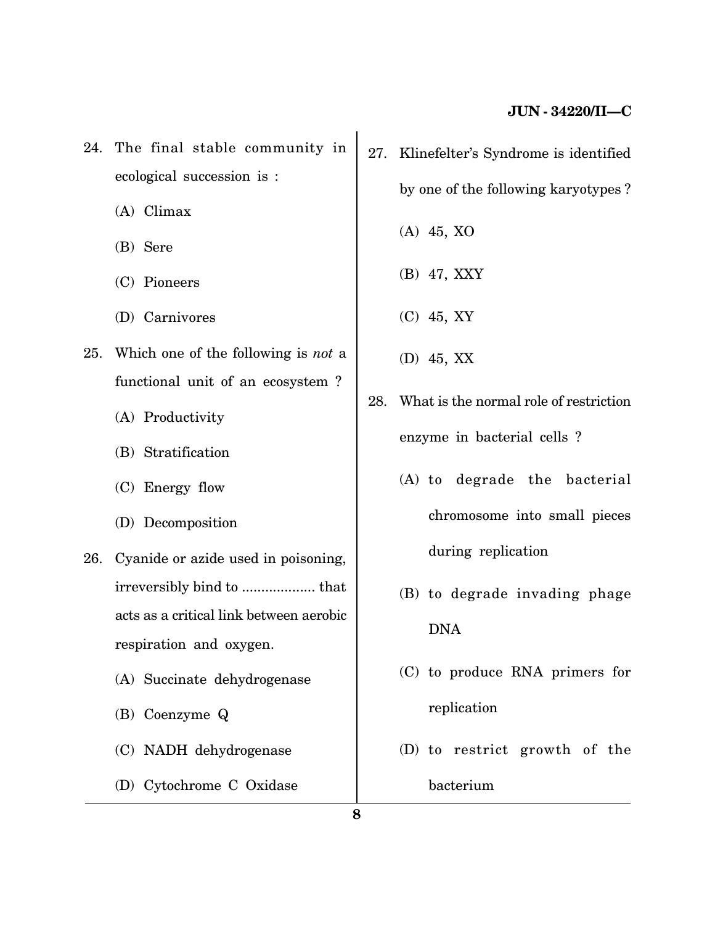24. The final stable community in ecological succession is :

- (A) Climax
- (B) Sere
- (C) Pioneers
- (D) Carnivores
- 25. Which one of the following is *not* a functional unit of an ecosystem ?
	- (A) Productivity
	- (B) Stratification
	- (C) Energy flow
	- (D) Decomposition
- 26. Cyanide or azide used in poisoning, irreversibly bind to ................... that acts as a critical link between aerobic respiration and oxygen.
	- (A) Succinate dehydrogenase
	- (B) Coenzyme Q
	- (C) NADH dehydrogenase
	- (D) Cytochrome C Oxidase
- 27. Klinefelter's Syndrome is identified by one of the following karyotypes ? (A) 45, XO (B) 47, XXY
	- (C) 45, XY
	- (D) 45, XX
- 28. What is the normal role of restriction enzyme in bacterial cells ?
	- (A) to degrade the bacterial chromosome into small pieces during replication
	- (B) to degrade invading phage DNA
	- (C) to produce RNA primers for replication
	- (D) to restrict growth of the bacterium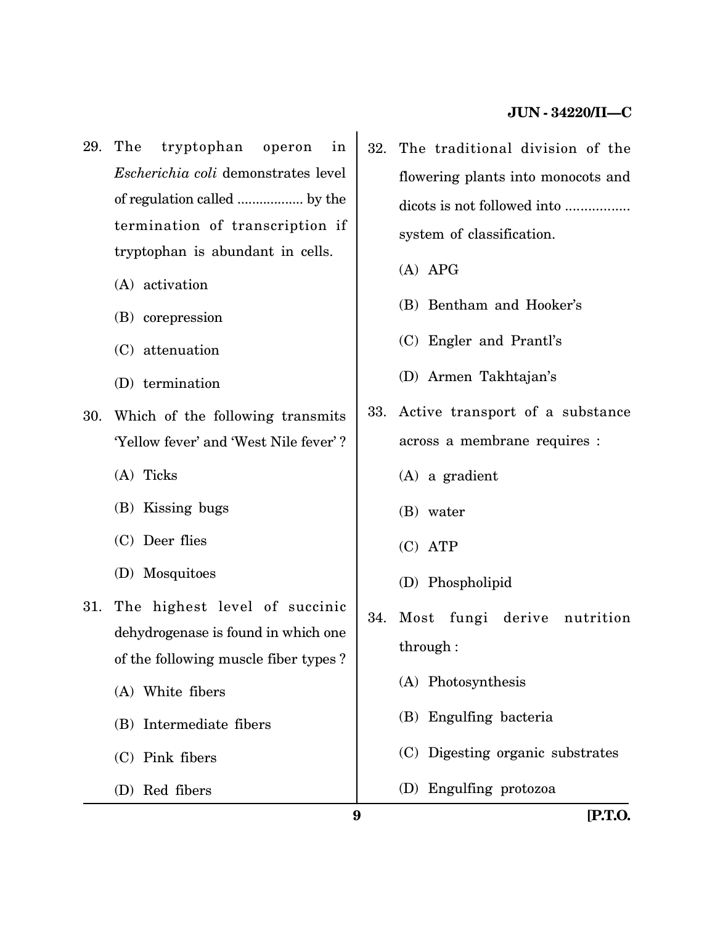- 29. The tryptophan operon in *Escherichia coli* demonstrates level of regulation called .................. by the termination of transcription if tryptophan is abundant in cells.
	- (A) activation
	- (B) corepression
	- (C) attenuation
	- (D) termination
- 30. Which of the following transmits 'Yellow fever' and 'West Nile fever' ?
	- (A) Ticks
	- (B) Kissing bugs
	- (C) Deer flies
	- (D) Mosquitoes
- 31. The highest level of succinic dehydrogenase is found in which one of the following muscle fiber types ?
	- (A) White fibers
	- (B) Intermediate fibers
	- (C) Pink fibers
	- (D) Red fibers
- 32. The traditional division of the flowering plants into monocots and dicots is not followed into .................. system of classification.
	- (A) APG
	- (B) Bentham and Hooker's
	- (C) Engler and Prantl's
	- (D) Armen Takhtajan's
- 33. Active transport of a substance across a membrane requires :
	- (A) a gradient
	- (B) water
	- (C) ATP
	- (D) Phospholipid
- 34. Most fungi derive nutrition through :
	- (A) Photosynthesis
	- (B) Engulfing bacteria
	- (C) Digesting organic substrates
	- (D) Engulfing protozoa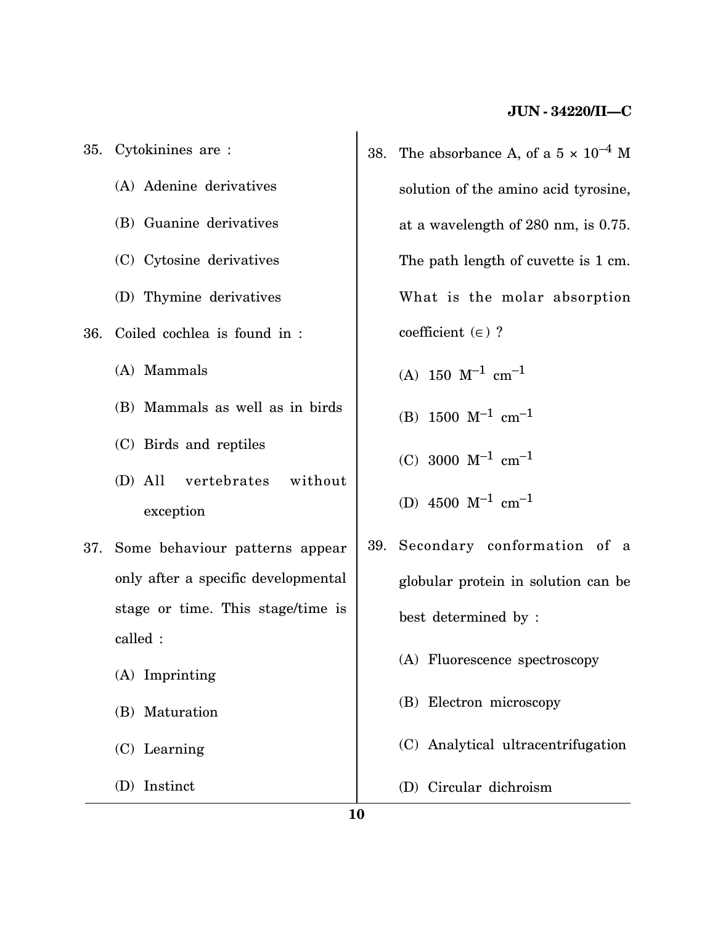| 35. Cytokinines are :               |    |  |  |
|-------------------------------------|----|--|--|
| (A) Adenine derivatives             |    |  |  |
| (B) Guanine derivatives             |    |  |  |
| (C) Cytosine derivatives            |    |  |  |
| (D) Thymine derivatives             |    |  |  |
| 36. Coiled cochlea is found in :    |    |  |  |
| (A) Mammals                         |    |  |  |
| (B) Mammals as well as in birds     |    |  |  |
| (C) Birds and reptiles              |    |  |  |
| (D) All vertebrates without         |    |  |  |
| exception                           |    |  |  |
| 37. Some behaviour patterns appear  | 39 |  |  |
| only after a specific developmental |    |  |  |
| stage or time. This stage/time is   |    |  |  |
| called :                            |    |  |  |
| (A) Imprinting                      |    |  |  |
| (B) Maturation                      |    |  |  |
| $(C)$ Learning                      |    |  |  |
| (D) Instinct                        |    |  |  |

- 3. The absorbance A, of a  $5 \times 10^{-4}$  M solution of the amino acid tyrosine, at a wavelength of 280 nm, is 0.75. The path length of cuvette is 1 cm. What is the molar absorption coefficient  $(\in)$  ?
	- (A)  $150 \text{ M}^{-1} \text{ cm}^{-1}$
	- (B)  $1500 \text{ M}^{-1} \text{ cm}^{-1}$
	- (C) 3000  $M^{-1}$  cm<sup>-1</sup>
	- (D) 4500  $M^{-1}$  cm<sup>-1</sup>
- 39. Secondary conformation of a globular protein in solution can be best determined by :
	- (A) Fluorescence spectroscopy
	- (B) Electron microscopy
	- (C) Analytical ultracentrifugation
	- (D) Circular dichroism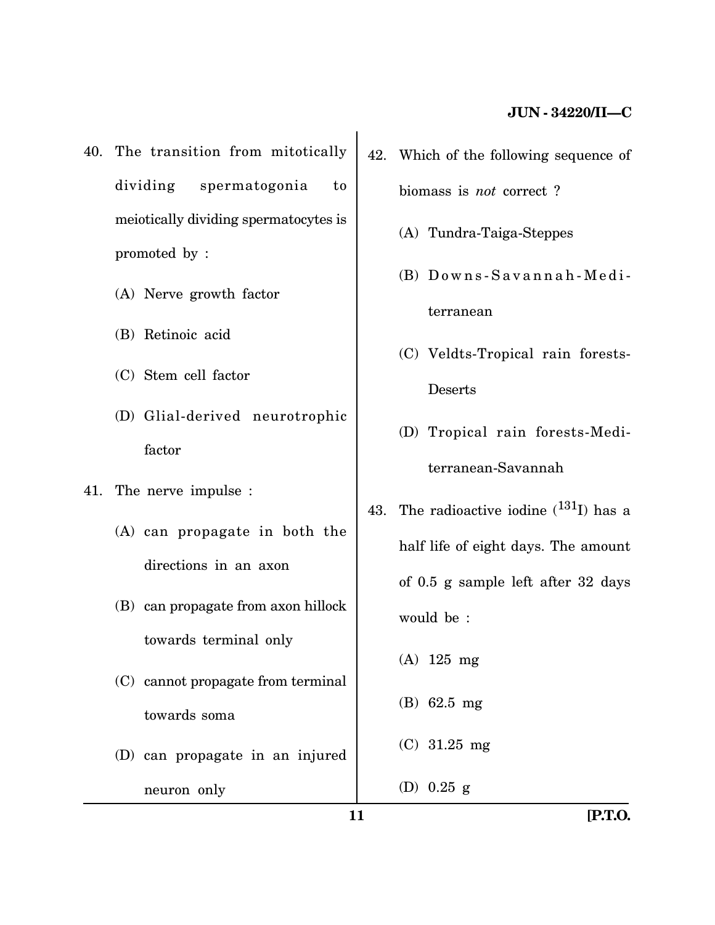- 40. The transition from mitotically dividing spermatogonia to meiotically dividing spermatocytes is promoted by :
	- (A) Nerve growth factor
	- (B) Retinoic acid
	- (C) Stem cell factor
	- (D) Glial-derived neurotrophic factor
- 41. The nerve impulse :
	- (A) can propagate in both the directions in an axon
	- (B) can propagate from axon hillock towards terminal only
	- (C) cannot propagate from terminal towards soma
	- (D) can propagate in an injured neuron only
- 42. Which of the following sequence of biomass is *not* correct ?
	- (A) Tundra-Taiga-Steppes
	- $(B)$  Downs-Savannah-Mediterranean
	- (C) Veldts-Tropical rain forests-Deserts
	- (D) Tropical rain forests-Mediterranean-Savannah
- 43. The radioactive iodine  $(^{131}I)$  has a half life of eight days. The amount of 0.5 g sample left after 32 days would be :
	- (A) 125 mg
	- (B) 62.5 mg
	- (C) 31.25 mg
	- (D) 0.25 g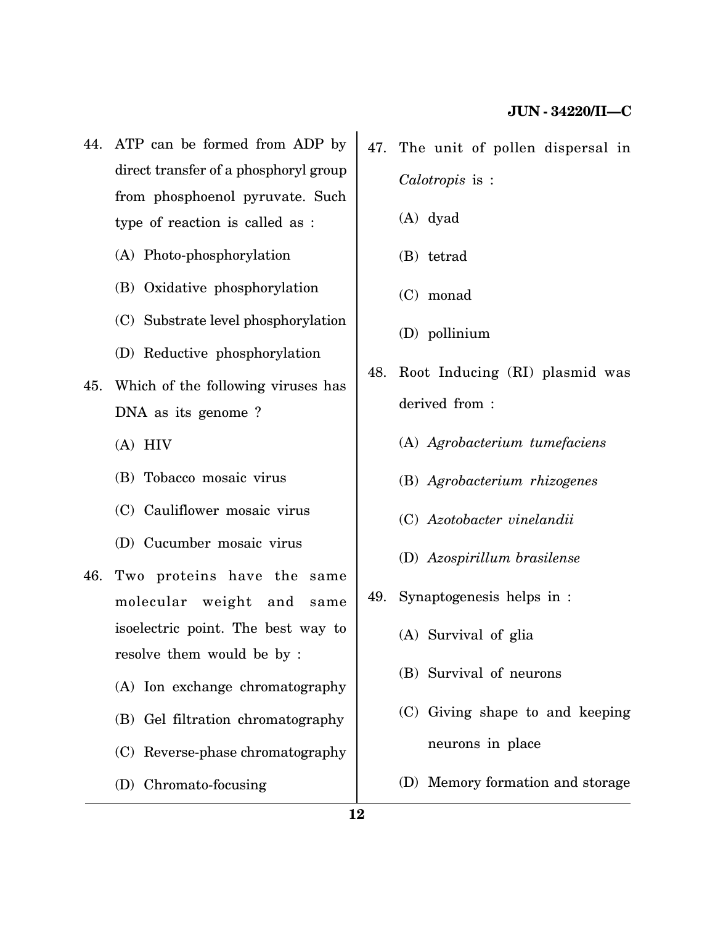- 44. ATP can be formed from ADP by direct transfer of a phosphoryl group from phosphoenol pyruvate. Such type of reaction is called as :
	- (A) Photo-phosphorylation
	- (B) Oxidative phosphorylation
	- (C) Substrate level phosphorylation
	- (D) Reductive phosphorylation
- 45. Which of the following viruses has DNA as its genome ?
	- (A) HIV
	- (B) Tobacco mosaic virus
	- (C) Cauliflower mosaic virus
	- (D) Cucumber mosaic virus
- 46. Two proteins have the same molecular weight and same isoelectric point. The best way to resolve them would be by :
	- (A) Ion exchange chromatography
	- (B) Gel filtration chromatography
	- (C) Reverse-phase chromatography
	- (D) Chromato-focusing
- 47. The unit of pollen dispersal in *Calotropis* is :
	- (A) dyad
	- (B) tetrad
	- (C) monad
	- (D) pollinium
- 48. Root Inducing (RI) plasmid was derived from :
	- (A) *Agrobacterium tumefaciens*
	- (B) *Agrobacterium rhizogenes*
	- (C) *Azotobacter vinelandii*
	- (D) *Azospirillum brasilense*
- 49. Synaptogenesis helps in :
	- (A) Survival of glia
	- (B) Survival of neurons
	- (C) Giving shape to and keeping neurons in place
	- (D) Memory formation and storage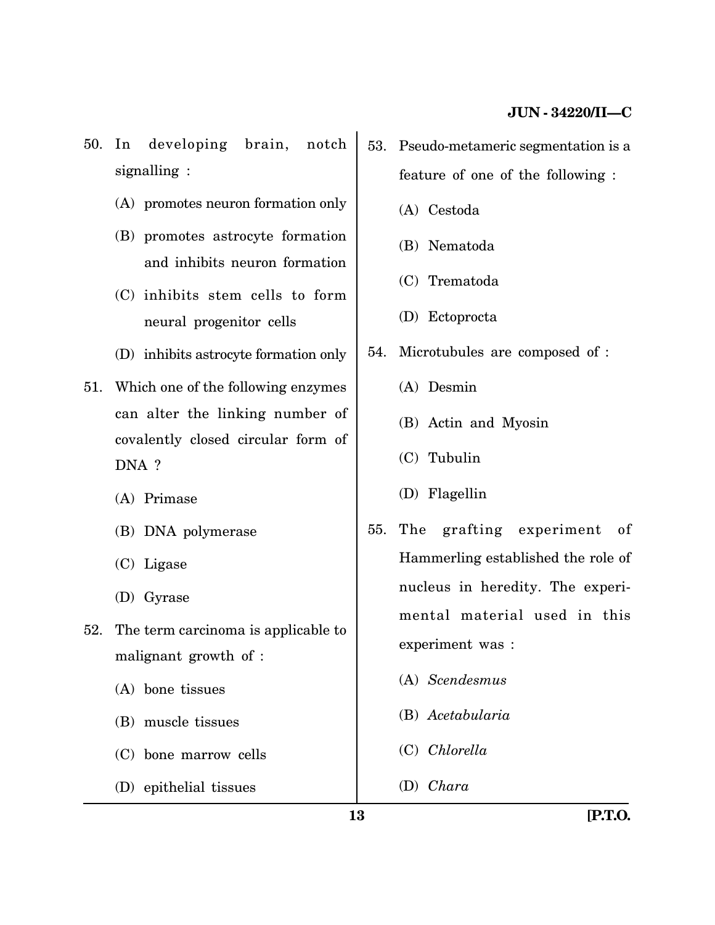- 50. In developing brain, notch signalling :
	- (A) promotes neuron formation only
	- (B) promotes astrocyte formation and inhibits neuron formation
	- (C) inhibits stem cells to form neural progenitor cells
	- (D) inhibits astrocyte formation only
- 51. Which one of the following enzymes can alter the linking number of covalently closed circular form of DNA ?
	- (A) Primase
	- (B) DNA polymerase
	- (C) Ligase
	- (D) Gyrase
- 52. The term carcinoma is applicable to malignant growth of :
	- (A) bone tissues
	- (B) muscle tissues
	- (C) bone marrow cells
	- (D) epithelial tissues
- 53. Pseudo-metameric segmentation is a feature of one of the following :
	- (A) Cestoda
	- (B) Nematoda
	- (C) Trematoda
	- (D) Ectoprocta
- 54. Microtubules are composed of :
	- (A) Desmin
	- (B) Actin and Myosin
	- (C) Tubulin
	- (D) Flagellin
- 55. The grafting experiment of Hammerling established the role of nucleus in heredity. The experimental material used in this experiment was :
	- (A) *Scendesmus*
	- (B) *Acetabularia*
	- (C) *Chlorella*
	- (D) *Chara*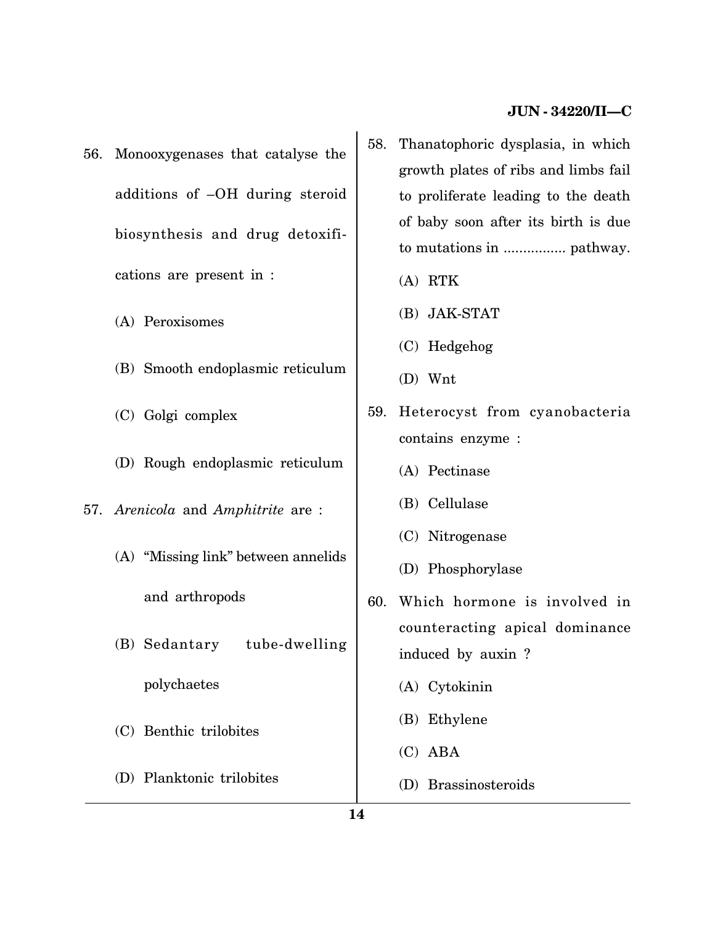## **JUN - 34220/II—C**

- 56. Monooxygenases that catalyse the additions of –OH during steroid biosynthesis and drug detoxifications are present in :
	- (A) Peroxisomes
	- (B) Smooth endoplasmic reticulum
	- (C) Golgi complex
	- (D) Rough endoplasmic reticulum
- 57. *Arenicola* and *Amphitrite* are :
	- (A) "Missing link" between annelids and arthropods
	- (B) Sedantary tube-dwelling polychaetes
	- (C) Benthic trilobites
	- (D) Planktonic trilobites
- 58. Thanatophoric dysplasia, in which growth plates of ribs and limbs fail to proliferate leading to the death of baby soon after its birth is due to mutations in ................ pathway.
	- (A) RTK
	- (B) JAK-STAT
	- (C) Hedgehog
	- (D) Wnt
- 59. Heterocyst from cyanobacteria contains enzyme :
	- (A) Pectinase
	- (B) Cellulase
	- (C) Nitrogenase
	- (D) Phosphorylase
- 60. Which hormone is involved in counteracting apical dominance induced by auxin ?
	- (A) Cytokinin
	- (B) Ethylene
	- (C) ABA
	- (D) Brassinosteroids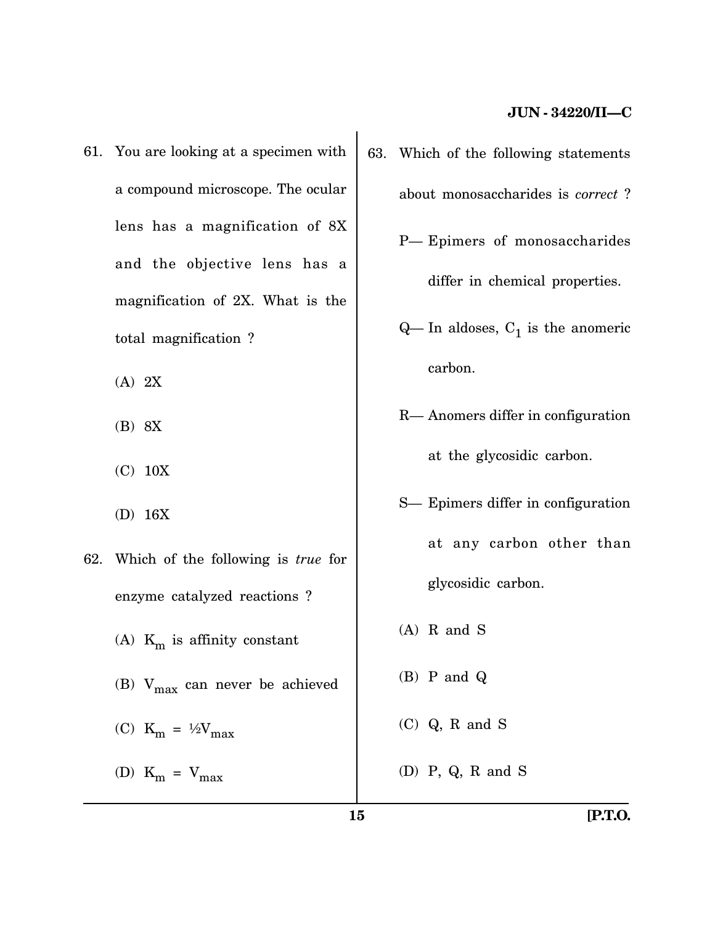- 61. You are looking at a specimen with a compound microscope. The ocular lens has a magnification of 8X and the objective lens has a magnification of 2X. What is the total magnification ?
	- (A) 2X
	- (B) 8X
	- (C) 10X
	- (D) 16X
- 62. Which of the following is *true* for enzyme catalyzed reactions ? (A)  $K_m$  is affinity constant (B)  $V_{\text{max}}$  can never be achieved (C)  $K_m = \frac{1}{2}V_{max}$ (D)  $K_m = V_{max}$
- 63. Which of the following statements about monosaccharides is *correct* ?
	- P— Epimers of monosaccharides differ in chemical properties.
	- $Q$  In aldoses,  $C_1$  is the anomeric carbon.
	- R— Anomers differ in configuration at the glycosidic carbon.
	- S— Epimers differ in configuration at any carbon other than glycosidic carbon.
	- (A) R and S
	- (B) P and Q
	- (C) Q, R and S
	- (D) P, Q, R and S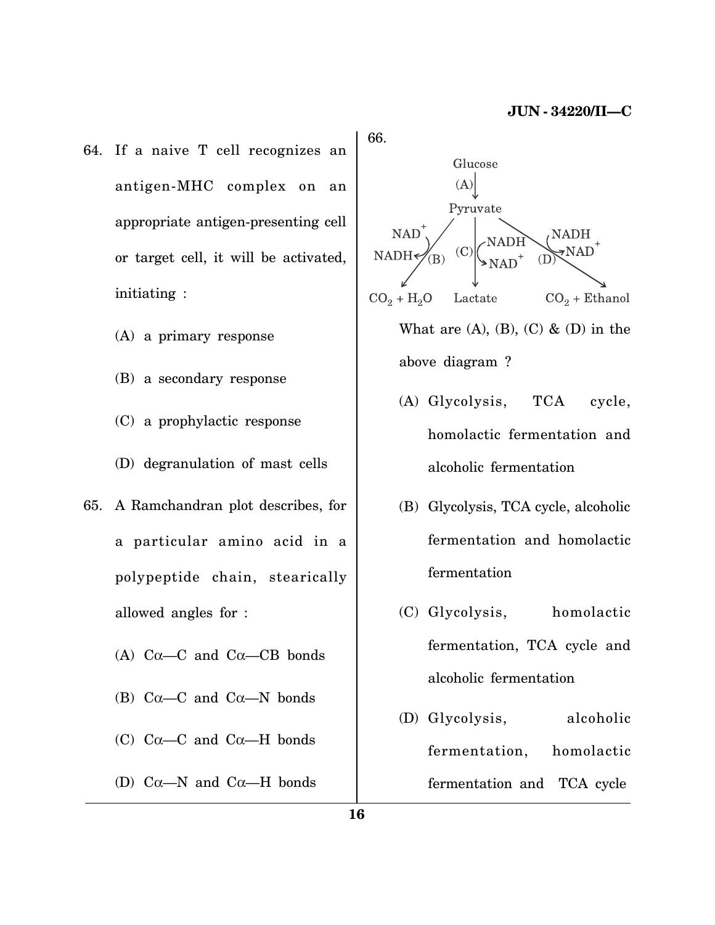- 64. If a naive T cell recognizes an antigen-MHC complex on an appropriate antigen-presenting cell or target cell, it will be activated, initiating :
	- (A) a primary response
	- (B) a secondary response
	- (C) a prophylactic response
	- (D) degranulation of mast cells
- 65. A Ramchandran plot describes, for a particular amino acid in a polypeptide chain, stearically allowed angles for :
	- (A)  $C\alpha$ — $C$  and  $C\alpha$ — $CB$  bonds
	- (B)  $C\alpha$ —C and  $C\alpha$ —N bonds
	- (C)  $Ca$ —C and  $Ca$ —H bonds
	- (D)  $C\alpha$ —N and  $C\alpha$ —H bonds





- (A) Glycolysis, TCA cycle, homolactic fermentation and alcoholic fermentation
- (B) Glycolysis, TCA cycle, alcoholic fermentation and homolactic fermentation
- (C) Glycolysis, homolactic fermentation, TCA cycle and alcoholic fermentation
- (D) Glycolysis, alcoholic fermentation, homolactic fermentation and TCA cycle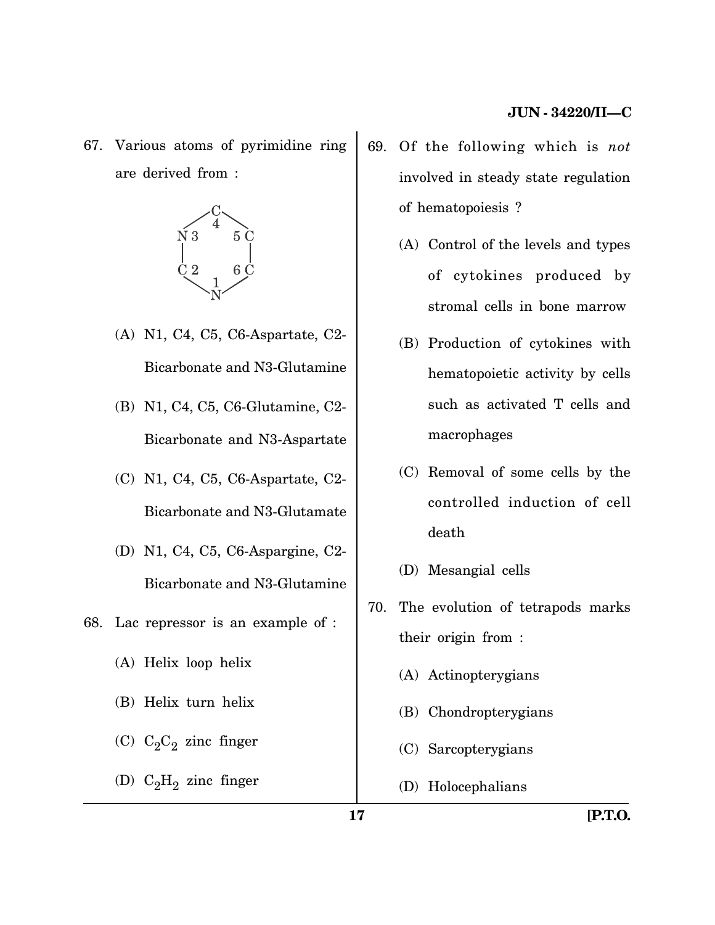67. Various atoms of pyrimidine ring are derived from :



- (A) N1, C4, C5, C6-Aspartate, C2- Bicarbonate and N3-Glutamine
- (B) N1, C4, C5, C6-Glutamine, C2- Bicarbonate and N3-Aspartate
- (C) N1, C4, C5, C6-Aspartate, C2- Bicarbonate and N3-Glutamate
- (D) N1, C4, C5, C6-Aspargine, C2- Bicarbonate and N3-Glutamine
- 68. Lac repressor is an example of :
	- (A) Helix loop helix
	- (B) Helix turn helix
	- (C)  $C_2C_2$  zinc finger
	- (D)  $C_2H_2$  zinc finger
- 69. Of the following which is *not* involved in steady state regulation of hematopoiesis ?
	- (A) Control of the levels and types of cytokines produced by stromal cells in bone marrow
	- (B) Production of cytokines with hematopoietic activity by cells such as activated T cells and macrophages
	- (C) Removal of some cells by the controlled induction of cell death
	- (D) Mesangial cells
- 70. The evolution of tetrapods marks their origin from :
	- (A) Actinopterygians
	- (B) Chondropterygians
	- (C) Sarcopterygians
	- (D) Holocephalians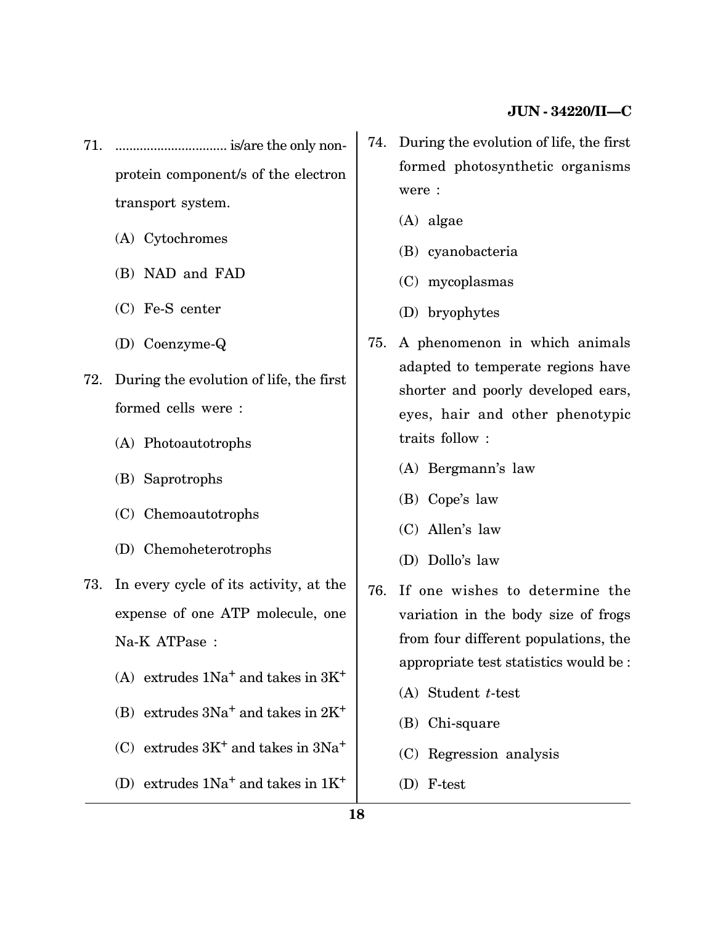- 71. ................................ is/are the only nonprotein component/s of the electron transport system.
	- (A) Cytochromes
	- (B) NAD and FAD
	- (C) Fe-S center
	- (D) Coenzyme-Q
- 72. During the evolution of life, the first formed cells were :
	- (A) Photoautotrophs
	- (B) Saprotrophs
	- (C) Chemoautotrophs
	- (D) Chemoheterotrophs
- 73. In every cycle of its activity, at the expense of one ATP molecule, one Na-K ATPase :
	- (A) extrudes  $1Na<sup>+</sup>$  and takes in  $3K<sup>+</sup>$
	- (B) extrudes  $3Na<sup>+</sup>$  and takes in  $2K<sup>+</sup>$
	- (C) extrudes  $3K^+$  and takes in  $3Na^+$
	- (D) extrudes  $1Na<sup>+</sup>$  and takes in  $1K<sup>+</sup>$
- 74. During the evolution of life, the first formed photosynthetic organisms were :
	- (A) algae
	- (B) cyanobacteria
	- (C) mycoplasmas
	- (D) bryophytes
- 75. A phenomenon in which animals adapted to temperate regions have shorter and poorly developed ears, eyes, hair and other phenotypic traits follow :
	- (A) Bergmann's law
	- (B) Cope's law
	- (C) Allen's law
	- (D) Dollo's law
- 76. If one wishes to determine the variation in the body size of frogs from four different populations, the appropriate test statistics would be :
	- (A) Student *t*-test
	- (B) Chi-square
	- (C) Regression analysis
	- (D) F-test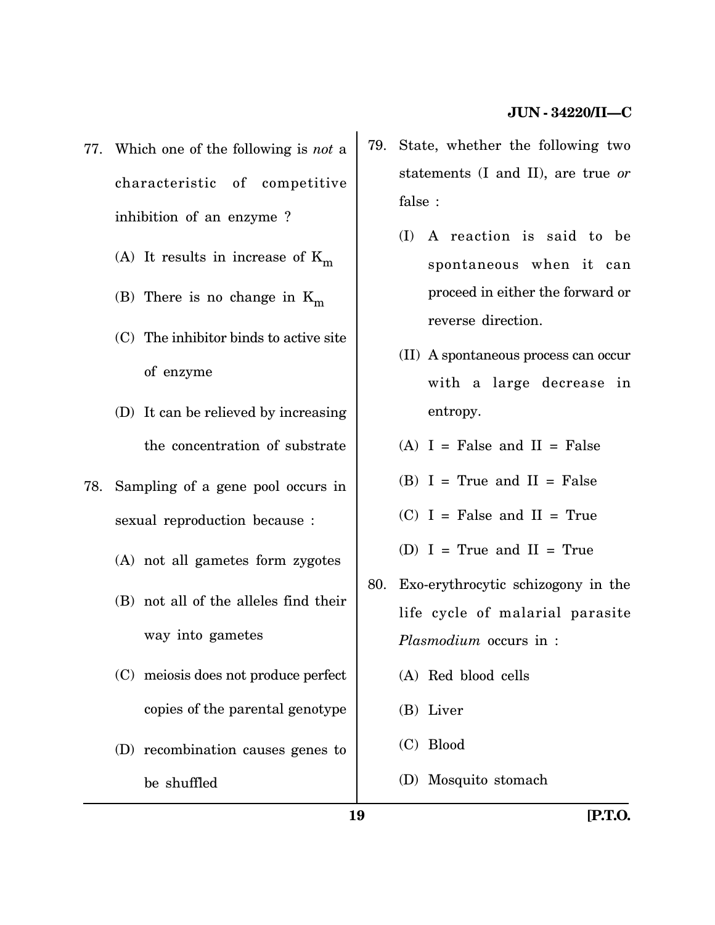- 77. Which one of the following is *not* a characteristic of competitive inhibition of an enzyme ?
	- (A) It results in increase of  $K_m$
	- (B) There is no change in  $K_m$
	- (C) The inhibitor binds to active site of enzyme
	- (D) It can be relieved by increasing the concentration of substrate
- 78. Sampling of a gene pool occurs in sexual reproduction because :
	- (A) not all gametes form zygotes
	- (B) not all of the alleles find their way into gametes
	- (C) meiosis does not produce perfect copies of the parental genotype
	- (D) recombination causes genes to be shuffled
- 79. State, whether the following two statements (I and II), are true *or* false :
	- (I) A reaction is said to be spontaneous when it can proceed in either the forward or reverse direction.
	- (II) A spontaneous process can occur with a large decrease in entropy.
	- $(A)$  I = False and II = False
	- $(B)$  I = True and II = False
	- $(C)$  I = False and II = True
	- (D)  $I = True$  and  $II = True$
- 80. Exo-erythrocytic schizogony in the life cycle of malarial parasite *Plasmodium* occurs in :
	- (A) Red blood cells
	- (B) Liver
	- (C) Blood
	- (D) Mosquito stomach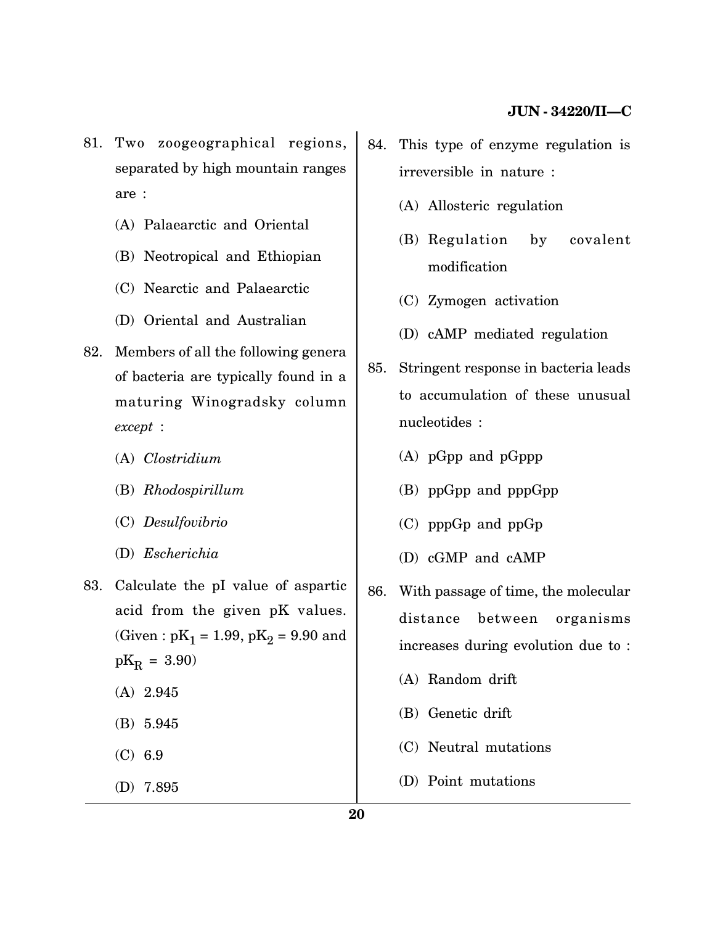- 81. Two zoogeographical regions, separated by high mountain ranges are :
	- (A) Palaearctic and Oriental
	- (B) Neotropical and Ethiopian
	- (C) Nearctic and Palaearctic
	- (D) Oriental and Australian
- 82. Members of all the following genera of bacteria are typically found in a maturing Winogradsky column *except* :
	- (A) *Clostridium*
	- (B) *Rhodospirillum*
	- (C) *Desulfovibrio*
	- (D) *Escherichia*
- 83. Calculate the pI value of aspartic acid from the given pK values. (Given :  $pK_1 = 1.99$ ,  $pK_2 = 9.90$  and  $pK_R = 3.90$ 
	- (A) 2.945
	- (B) 5.945
	- (C) 6.9
	- (D) 7.895
- 84. This type of enzyme regulation is irreversible in nature :
	- (A) Allosteric regulation
	- (B) Regulation by covalent modification
	- (C) Zymogen activation
	- (D) cAMP mediated regulation
- 85. Stringent response in bacteria leads to accumulation of these unusual nucleotides :
	- (A) pGpp and pGppp
	- (B) ppGpp and pppGpp
	- (C) pppGp and ppGp
	- (D) cGMP and cAMP
- 86. With passage of time, the molecular distance between organisms increases during evolution due to :
	- (A) Random drift
	- (B) Genetic drift
	- (C) Neutral mutations
	- (D) Point mutations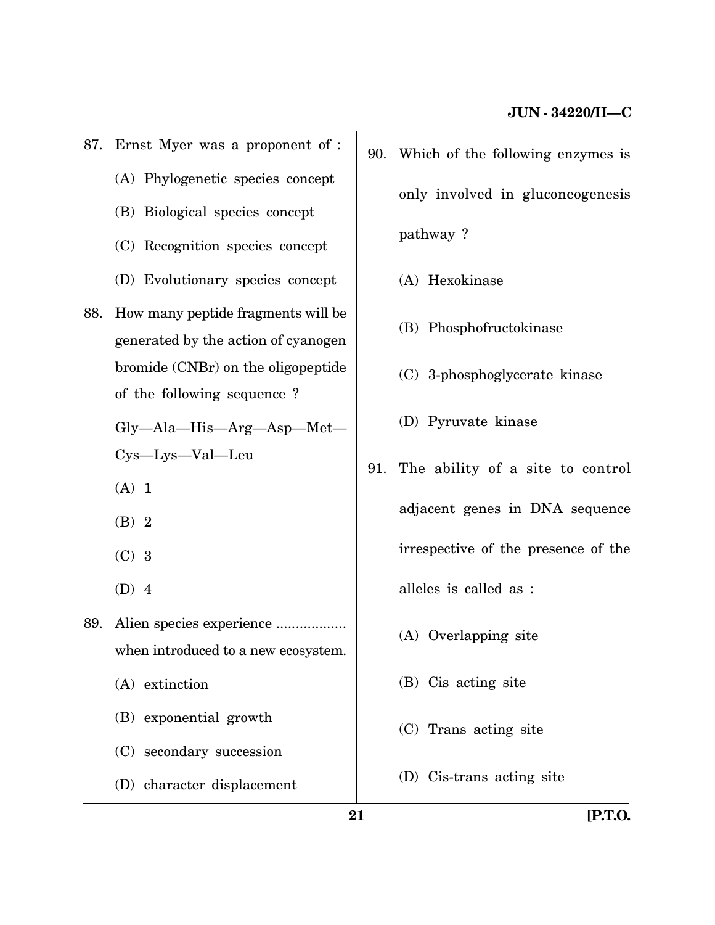- 87. Ernst Myer was a proponent of :
	- (A) Phylogenetic species concept
	- (B) Biological species concept
	- (C) Recognition species concept
	- (D) Evolutionary species concept
- 88. How many peptide fragments will be generated by the action of cyanogen bromide (CNBr) on the oligopeptide of the following sequence ?

Gly—Ala—His—Arg—Asp—Met— Cys—Lys—Val—Leu

- (A) 1
- (B) 2
- (C) 3
- (D) 4
- 89. Alien species experience ................... when introduced to a new ecosystem.
	- (A) extinction
	- (B) exponential growth
	- (C) secondary succession
	- (D) character displacement
- 90. Which of the following enzymes is only involved in gluconeogenesis pathway ?
	- (A) Hexokinase
	- (B) Phosphofructokinase
	- (C) 3-phosphoglycerate kinase
	- (D) Pyruvate kinase
- 91. The ability of a site to control adjacent genes in DNA sequence irrespective of the presence of the alleles is called as :
	- (A) Overlapping site
	- (B) Cis acting site
	- (C) Trans acting site
	- (D) Cis-trans acting site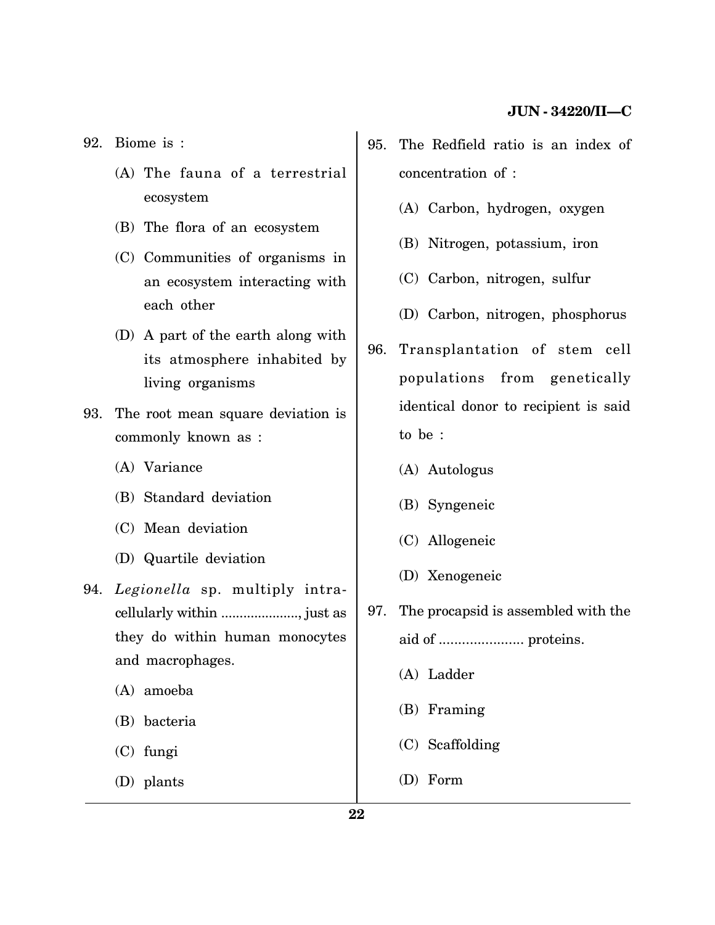92. Biome is :

- (A) The fauna of a terrestrial ecosystem
- (B) The flora of an ecosystem
- (C) Communities of organisms in an ecosystem interacting with each other
- (D) A part of the earth along with its atmosphere inhabited by living organisms
- 93. The root mean square deviation is commonly known as :
	- (A) Variance
	- (B) Standard deviation
	- (C) Mean deviation
	- (D) Quartile deviation
- 94. *Legionella* sp. multiply intracellularly within ....................., just as they do within human monocytes and macrophages.
	- (A) amoeba
	- (B) bacteria
	- (C) fungi
	- (D) plants
- 95. The Redfield ratio is an index of concentration of :
	- (A) Carbon, hydrogen, oxygen
	- (B) Nitrogen, potassium, iron
	- (C) Carbon, nitrogen, sulfur
	- (D) Carbon, nitrogen, phosphorus
- 96. Transplantation of stem cell populations from genetically identical donor to recipient is said to be :
	- (A) Autologus
	- (B) Syngeneic
	- (C) Allogeneic
	- (D) Xenogeneic
- 97. The procapsid is assembled with the aid of ...................... proteins.
	- (A) Ladder
	- (B) Framing
	- (C) Scaffolding
	- (D) Form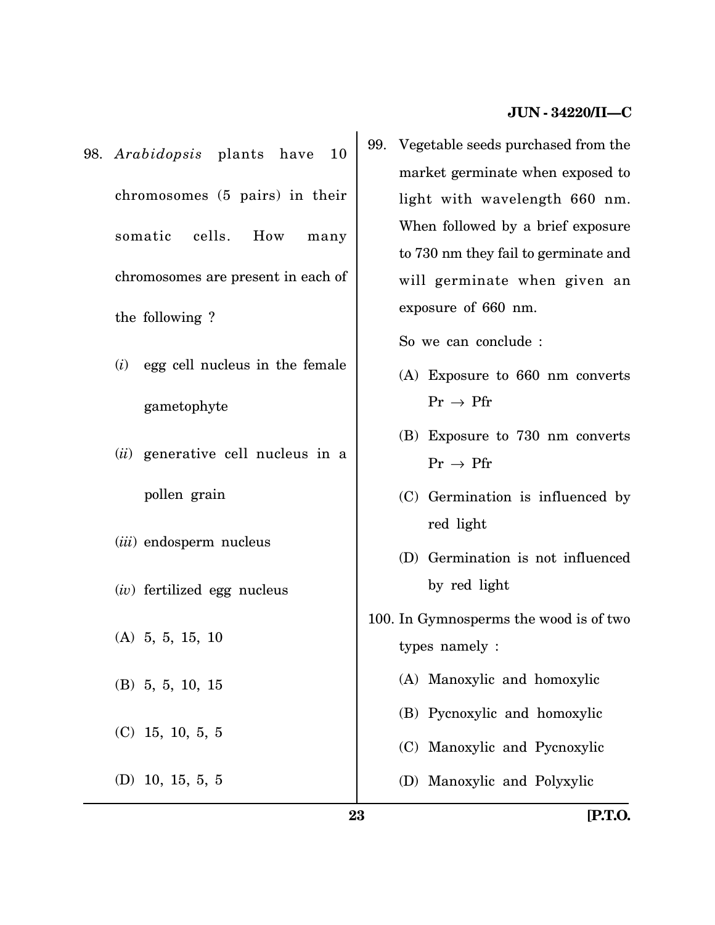- 98. *Arabidopsis* plants have 10 chromosomes (5 pairs) in their somatic cells. How many chromosomes are present in each of the following ?
	- (*i*) egg cell nucleus in the female gametophyte
	- (*ii*) generative cell nucleus in a pollen grain
	- (*iii*) endosperm nucleus
	- (*iv*) fertilized egg nucleus
	- (A) 5, 5, 15, 10
	- (B) 5, 5, 10, 15
	- (C) 15, 10, 5, 5
	- (D) 10, 15, 5, 5

99. Vegetable seeds purchased from the market germinate when exposed to light with wavelength 660 nm. When followed by a brief exposure to 730 nm they fail to germinate and will germinate when given an exposure of 660 nm.

So we can conclude :

- (A) Exposure to 660 nm converts  $Pr \rightarrow Pr$
- (B) Exposure to 730 nm converts  $Pr \rightarrow Pr$
- (C) Germination is influenced by red light
- (D) Germination is not influenced by red light
- 100. In Gymnosperms the wood is of two types namely :
	- (A) Manoxylic and homoxylic
	- (B) Pycnoxylic and homoxylic
	- (C) Manoxylic and Pycnoxylic
	- (D) Manoxylic and Polyxylic